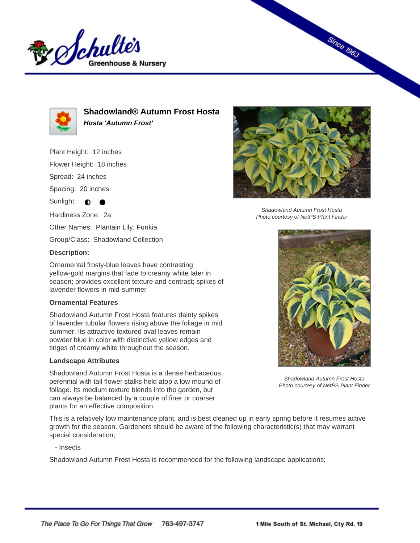



**Shadowland® Autumn Frost Hosta Hosta 'Autumn Frost'**

Plant Height: 12 inches

Flower Height: 18 inches

Spread: 24 inches

Spacing: 20 inches

Sunlight:  $\bigcirc$ ∙

Hardiness Zone: 2a

Other Names: Plantain Lily, Funkia

Group/Class: Shadowland Collection

## **Description:**

Ornamental frosty-blue leaves have contrasting yellow-gold margins that fade to creamy white later in season; provides excellent texture and contrast; spikes of lavender flowers in mid-summer

## **Ornamental Features**

Shadowland Autumn Frost Hosta features dainty spikes of lavender tubular flowers rising above the foliage in mid summer. Its attractive textured oval leaves remain powder blue in color with distinctive yellow edges and tinges of creamy white throughout the season.

## **Landscape Attributes**

Shadowland Autumn Frost Hosta is a dense herbaceous perennial with tall flower stalks held atop a low mound of foliage. Its medium texture blends into the garden, but can always be balanced by a couple of finer or coarser plants for an effective composition.

This is a relatively low maintenance plant, and is best cleaned up in early spring before it resumes active growth for the season. Gardeners should be aware of the following characteristic(s) that may warrant special consideration;

- Insects

Shadowland Autumn Frost Hosta is recommended for the following landscape applications;



**Since 1963** 

Shadowland Autumn Frost Hosta Photo courtesy of NetPS Plant Finder



Shadowland Autumn Frost Hosta Photo courtesy of NetPS Plant Finder